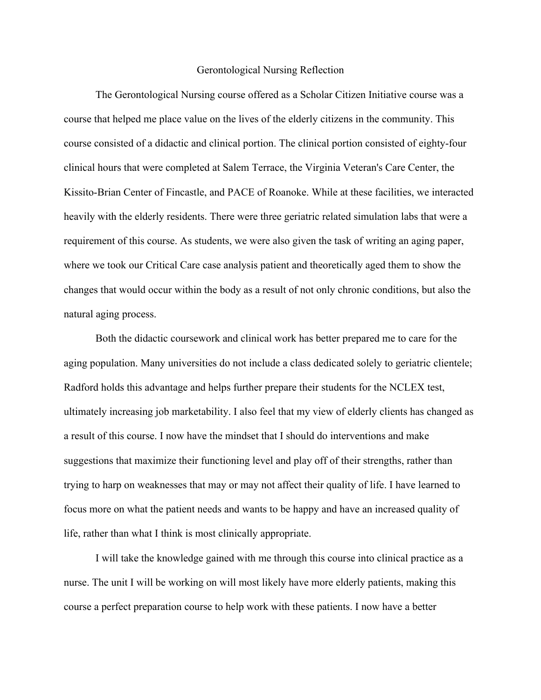## Gerontological Nursing Reflection

The Gerontological Nursing course offered as a Scholar Citizen Initiative course was a course that helped me place value on the lives of the elderly citizens in the community. This course consisted of a didactic and clinical portion. The clinical portion consisted of eighty-four clinical hours that were completed at Salem Terrace, the Virginia Veteran's Care Center, the Kissito-Brian Center of Fincastle, and PACE of Roanoke. While at these facilities, we interacted heavily with the elderly residents. There were three geriatric related simulation labs that were a requirement of this course. As students, we were also given the task of writing an aging paper, where we took our Critical Care case analysis patient and theoretically aged them to show the changes that would occur within the body as a result of not only chronic conditions, but also the natural aging process.

Both the didactic coursework and clinical work has better prepared me to care for the aging population. Many universities do not include a class dedicated solely to geriatric clientele; Radford holds this advantage and helps further prepare their students for the NCLEX test, ultimately increasing job marketability. I also feel that my view of elderly clients has changed as a result of this course. I now have the mindset that I should do interventions and make suggestions that maximize their functioning level and play off of their strengths, rather than trying to harp on weaknesses that may or may not affect their quality of life. I have learned to focus more on what the patient needs and wants to be happy and have an increased quality of life, rather than what I think is most clinically appropriate.

I will take the knowledge gained with me through this course into clinical practice as a nurse. The unit I will be working on will most likely have more elderly patients, making this course a perfect preparation course to help work with these patients. I now have a better